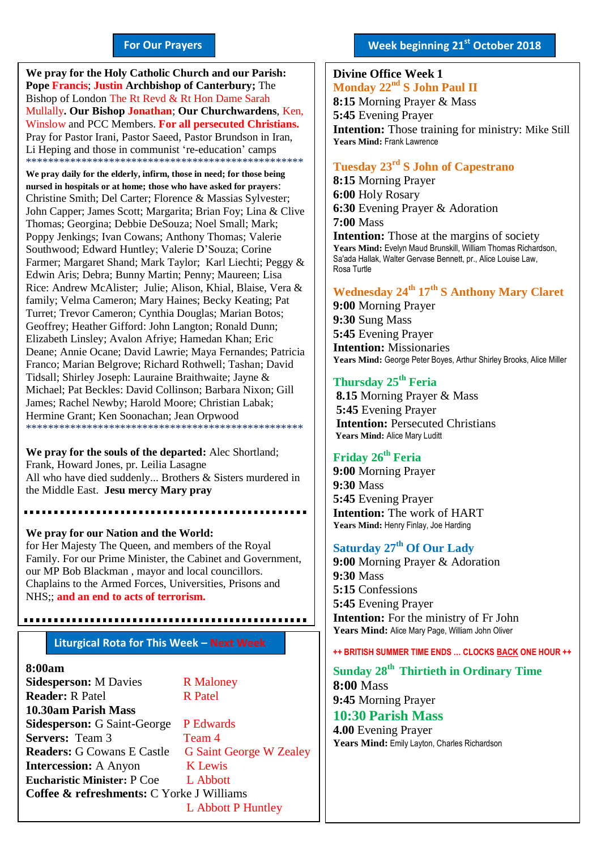#### **For Our Prayers**

arted Mullally**. Our Bishop Jonathan**; **Our Churchwardens**, Ken, **We pray for the Holy Catholic Church and our Parish: Pope Francis**; **Justin Archbishop of Canterbury;** The Bishop of London The Rt Revd & Rt Hon Dame Sarah Winslow and PCC Members. **For all persecuted Christians.** Pray for Pastor Irani, Pastor Saeed, Pastor Brundson in Iran, Li Heping and those in communist 're-education' camps \*\*\*\*\*\*\*\*\*\*\*\*\*\*\*\*\*\*\*\*\*\*\*\*\*\*\*\*\*\*\*\*\*\*\*\*\*\*\*\*\*\*\*\*\*\*\*\*\*\*

**We pray daily for the elderly, infirm, those in need; for those being nursed in hospitals or at home; those who have asked for prayers**: Christine Smith; Del Carter; Florence & Massias Sylvester; John Capper; James Scott; Margarita; Brian Foy; Lina & Clive Thomas; Georgina; Debbie DeSouza; Noel Small; Mark; Poppy Jenkings; Ivan Cowans; Anthony Thomas; Valerie Southwood; Edward Huntley; Valerie D'Souza; Corine Farmer; Margaret Shand; Mark Taylor; Karl Liechti; Peggy & Edwin Aris; Debra; Bunny Martin; Penny; Maureen; Lisa Rice: Andrew McAlister; Julie; Alison, Khial, Blaise, Vera & family; Velma Cameron; Mary Haines; Becky Keating; Pat Turret; Trevor Cameron; Cynthia Douglas; Marian Botos; Geoffrey; Heather Gifford: John Langton; Ronald Dunn; Elizabeth Linsley; Avalon Afriye; Hamedan Khan; Eric Deane; Annie Ocane; David Lawrie; Maya Fernandes; Patricia Franco; Marian Belgrove; Richard Rothwell; Tashan; David Tidsall; Shirley Joseph: Lauraine Braithwaite; Jayne & Michael; Pat Beckles: David Collinson; Barbara Nixon; Gill James; Rachel Newby; Harold Moore; Christian Labak; Hermine Grant; Ken Soonachan; Jean Orpwood \*\*\*\*\*\*\*\*\*\*\*\*\*\*\*\*\*\*\*\*\*\*\*\*\*\*\*\*\*\*\*\*\*\*\*\*\*\*\*\*\*\*\*\*\*\*\*\*\*\*

**We pray for the souls of the departed:** Alec Shortland; Frank, Howard Jones, pr. Leilia Lasagne All who have died suddenly... Brothers & Sisters murdered in the Middle East. **Jesu mercy Mary pray**

.....................

**We pray for our Nation and the World:** for Her Majesty The Queen, and members of the Royal Family. For our Prime Minister, the Cabinet and Government, our MP Bob Blackman , mayor and local councillors. Chaplains to the Armed Forces, Universities, Prisons and NHS;; **and an end to acts of terrorism.**

### **Liturgical Rota for This Week – Next Week**

#### **8:00am**

**Sidesperson:** M Davies R Maloney **Reader:** R Patel R Patel **10.30am Parish Mass Sidesperson:** G Saint-George P Edwards **Servers:** Team 3 Team 4 **Readers:** G Cowans E Castle G Saint George W Zealey **Intercession:** A Anyon K Lewis **Eucharistic Minister:** P Coe L Abbott **Coffee & refreshments:** C Yorke J Williams L Abbott P Huntley

#### **Week beginning 21st October 2018**

#### **Divine Office Week 1 Monday 22nd S John Paul II 8:15** Morning Prayer & Mass **5:45** Evening Prayer **Intention:** Those training for ministry: Mike Still **Years Mind:** Frank Lawrence

#### **Tuesday 23rd S John of Capestrano**

**8:15** Morning Prayer **6:00** Holy Rosary **6:30** Evening Prayer & Adoration **7:00** Mass **Intention:** Those at the margins of society Years Mind: Evelyn Maud Brunskill, William Thomas Richardson, Sa'ada Hallak, Walter Gervase Bennett, pr., Alice Louise Law, Rosa Turtle

#### **Wednesday 24th 17 th S Anthony Mary Claret**

**9:00** Morning Prayer **9:30** Sung Mass **5:45** Evening Prayer **Intention:** Missionaries **Years Mind:** George Peter Boyes, Arthur Shirley Brooks, Alice Miller

#### **Thursday 25th Feria**

**8.15** Morning Prayer & Mass **5:45** Evening Prayer **Intention:** Persecuted Christians **Years Mind:** Alice Mary Luditt

#### **Friday 26th Feria**

**9:00** Morning Prayer **9:30** Mass **5:45** Evening Prayer **Intention:** The work of HART **Years Mind:** Henry Finlay, Joe Harding

#### **Saturday 27 th Of Our Lady**

**9:00** Morning Prayer & Adoration **9:30** Mass **5:15** Confessions **5:45** Evening Prayer **Intention:** For the ministry of Fr John **Years Mind:** Alice Mary Page, William John Oliver

**++ BRITISH SUMMER TIME ENDS … CLOCKS BACK ONE HOUR ++**

**Sunday 28 th Thirtieth in Ordinary Time 8:00** Mass **9:45** Morning Prayer

**10:30 Parish Mass 4.00** Evening Prayer **Years Mind:** Emily Layton, Charles Richardson